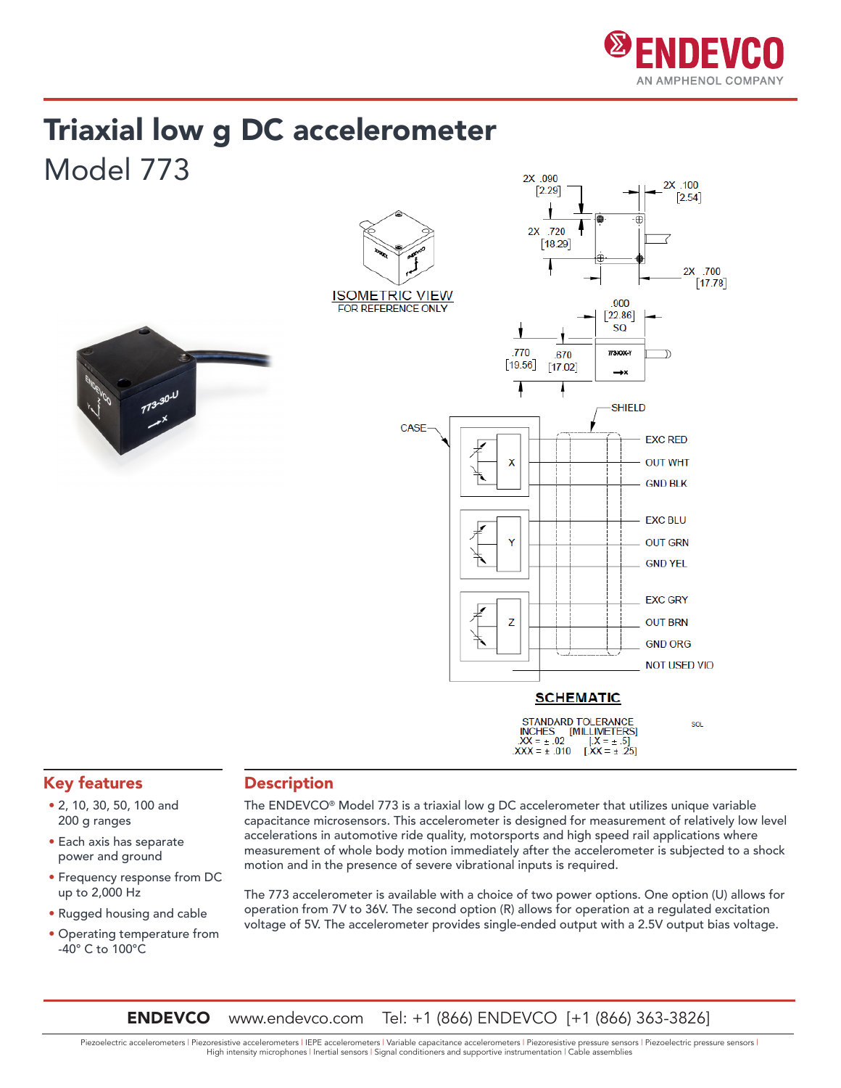

## Triaxial low g DC accelerometer Model 773



### Key features

- 2, 10, 30, 50, 100 and 200 g ranges
- Each axis has separate power and ground
- Frequency response from DC up to 2,000 Hz
- Rugged housing and cable
- Operating temperature from -40° C to 100°C

#### **Description**

The ENDEVCO® Model 773 is a triaxial low g DC accelerometer that utilizes unique variable capacitance microsensors. This accelerometer is designed for measurement of relatively low level accelerations in automotive ride quality, motorsports and high speed rail applications where measurement of whole body motion immediately after the accelerometer is subjected to a shock motion and in the presence of severe vibrational inputs is required.

The 773 accelerometer is available with a choice of two power options. One option (U) allows for operation from 7V to 36V. The second option (R) allows for operation at a regulated excitation voltage of 5V. The accelerometer provides single-ended output with a 2.5V output bias voltage.

**ENDEVCO** www.endevco.com Tel: +1 (866) ENDEVCO [+1 (866) 363-3826]

Piezoelectric accelerometers | Piezoresistive accelerometers | IEPE accelerometers | Variable capacitance accelerometers | Piezoresistive pressure sensors | Piezoelectric pressure sensors | High intensity microphones | Inertial sensors | Signal conditioners and supportive instrumentation | Cable assemblies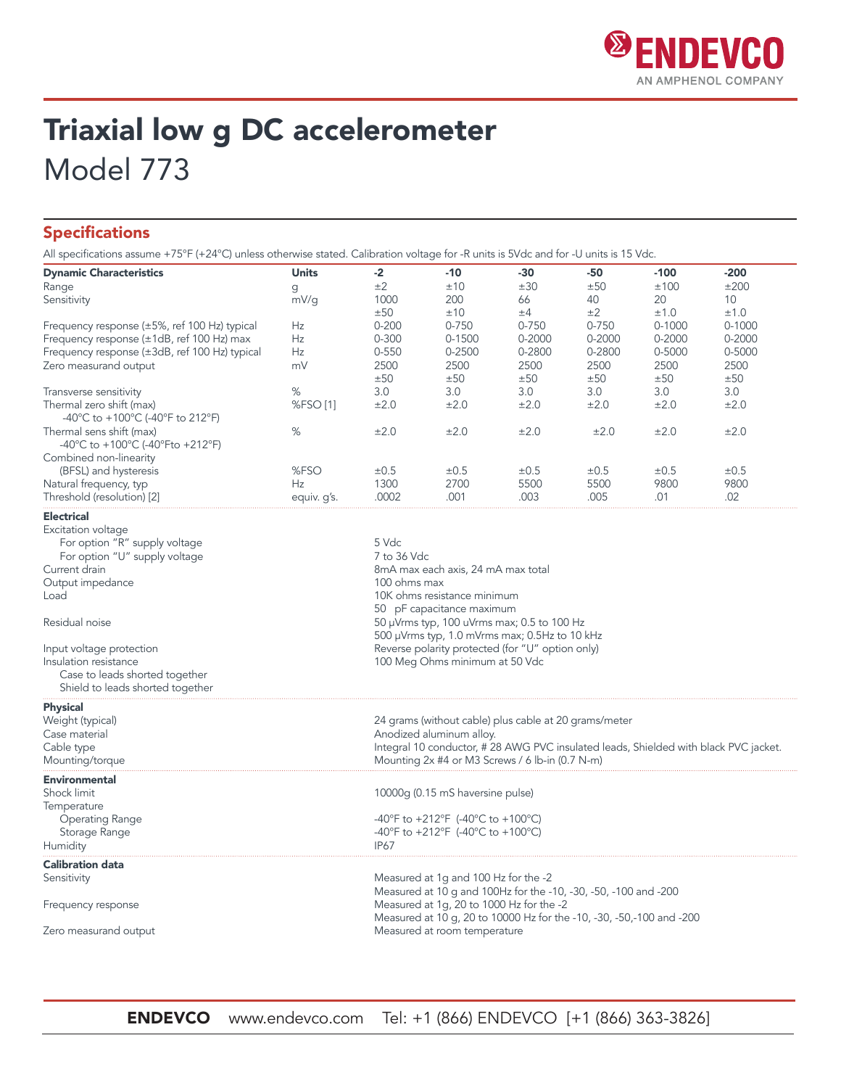

## Triaxial low g DC accelerometer Model 773

#### Specifications

All specifications assume +75°F (+24°C) unless otherwise stated. Calibration voltage for -R units is 5Vdc and for -U units is 15 Vdc.

| <b>Dynamic Characteristics</b>                                       | <b>Units</b> | $-2$                                                                               | $-10$                                                                                                                         | $-30$     | $-50$     | $-100$     | $-200$     |
|----------------------------------------------------------------------|--------------|------------------------------------------------------------------------------------|-------------------------------------------------------------------------------------------------------------------------------|-----------|-----------|------------|------------|
| Range                                                                | g            | ±2                                                                                 | ±10                                                                                                                           | ±30       | ±50       | ±100       | ±200       |
| Sensitivity                                                          | mV/g         | 1000                                                                               | 200                                                                                                                           | 66        | 40        | 20         | 10         |
|                                                                      |              | ±50                                                                                | ±10                                                                                                                           | ±4        | ±2        | ±1.0       | ±1.0       |
| Frequency response $(\pm 5\% , \text{ ref } 100 \text{ Hz})$ typical | Hz           | $0 - 200$                                                                          | $0 - 750$                                                                                                                     | $0 - 750$ | $0 - 750$ | $0 - 1000$ | $0 - 1000$ |
| Frequency response (±1dB, ref 100 Hz) max                            | Hz           | $0 - 300$                                                                          | 0-1500                                                                                                                        | 0-2000    | 0-2000    | $0 - 2000$ | $0 - 2000$ |
| Frequency response (±3dB, ref 100 Hz) typical                        | Hz           | $0 - 550$                                                                          | 0-2500                                                                                                                        | 0-2800    | 0-2800    | 0-5000     | 0-5000     |
| Zero measurand output                                                | mV           | 2500                                                                               | 2500                                                                                                                          | 2500      | 2500      | 2500       | 2500       |
|                                                                      |              | ±50                                                                                | ±50                                                                                                                           | ±50       | ±50       | ±50        | ±50        |
| Transverse sensitivity                                               | %            | 3.0                                                                                | 3.0                                                                                                                           | 3.0       | 3.0       | 3.0        | 3.0        |
|                                                                      |              |                                                                                    | ±2.0                                                                                                                          |           |           | ±2.0       |            |
| Thermal zero shift (max)<br>-40°C to +100°C (-40°F to 212°F)         | %FSO [1]     | ±2.0                                                                               |                                                                                                                               | ±2.0      | ±2.0      |            | ±2.0       |
| Thermal sens shift (max)<br>-40°C to +100°C (-40°Fto +212°F)         | %            | ±2.0                                                                               | ±2.0                                                                                                                          | ±2.0      | ±2.0      | ±2.0       | ±2.0       |
| Combined non-linearity                                               |              |                                                                                    |                                                                                                                               |           |           |            |            |
| (BFSL) and hysteresis                                                | %FSO         | ±0.5                                                                               | ±0.5                                                                                                                          | ±0.5      | ±0.5      | ±0.5       | ±0.5       |
| Natural frequency, typ                                               | Hz           | 1300                                                                               | 2700                                                                                                                          | 5500      | 5500      | 9800       | 9800       |
| Threshold (resolution) [2]                                           | equiv. g's.  | .0002                                                                              | .001                                                                                                                          | .003      | .005      | .01        | .02        |
| <b>Electrical</b>                                                    |              |                                                                                    |                                                                                                                               |           |           |            |            |
| Excitation voltage                                                   |              |                                                                                    |                                                                                                                               |           |           |            |            |
| For option "R" supply voltage                                        |              | 5 Vdc                                                                              |                                                                                                                               |           |           |            |            |
| For option "U" supply voltage                                        |              | 7 to 36 Vdc                                                                        |                                                                                                                               |           |           |            |            |
| Current drain                                                        |              | 8mA max each axis, 24 mA max total                                                 |                                                                                                                               |           |           |            |            |
| Output impedance                                                     |              |                                                                                    |                                                                                                                               |           |           |            |            |
|                                                                      |              |                                                                                    | 100 ohms max<br>10K ohms resistance minimum                                                                                   |           |           |            |            |
| Load                                                                 |              |                                                                                    |                                                                                                                               |           |           |            |            |
| Residual noise                                                       |              |                                                                                    | 50 pF capacitance maximum<br>50 $\mu$ Vrms typ, 100 uVrms max; 0.5 to 100 Hz<br>500 µVrms typ, 1.0 mVrms max; 0.5Hz to 10 kHz |           |           |            |            |
| Input voltage protection                                             |              |                                                                                    |                                                                                                                               |           |           |            |            |
| Insulation resistance                                                |              | Reverse polarity protected (for "U" option only)<br>100 Meg Ohms minimum at 50 Vdc |                                                                                                                               |           |           |            |            |
|                                                                      |              |                                                                                    |                                                                                                                               |           |           |            |            |
| Case to leads shorted together                                       |              |                                                                                    |                                                                                                                               |           |           |            |            |
| Shield to leads shorted together                                     |              |                                                                                    |                                                                                                                               |           |           |            |            |
| <b>Physical</b>                                                      |              |                                                                                    |                                                                                                                               |           |           |            |            |
| Weight (typical)                                                     |              | 24 grams (without cable) plus cable at 20 grams/meter                              |                                                                                                                               |           |           |            |            |
| Case material                                                        |              |                                                                                    | Anodized aluminum alloy.                                                                                                      |           |           |            |            |
| Cable type                                                           |              |                                                                                    | Integral 10 conductor, #28 AWG PVC insulated leads, Shielded with black PVC jacket.                                           |           |           |            |            |
| Mounting/torque                                                      |              | Mounting 2x #4 or M3 Screws / 6 lb-in (0.7 N-m)                                    |                                                                                                                               |           |           |            |            |
| <b>Environmental</b>                                                 |              |                                                                                    |                                                                                                                               |           |           |            |            |
| Shock limit                                                          |              |                                                                                    | 10000g (0.15 mS haversine pulse)                                                                                              |           |           |            |            |
| Temperature                                                          |              |                                                                                    |                                                                                                                               |           |           |            |            |
| <b>Operating Range</b>                                               |              |                                                                                    | -40°F to +212°F (-40°C to +100°C)                                                                                             |           |           |            |            |
| Storage Range                                                        |              |                                                                                    | -40°F to +212°F (-40°C to +100°C)                                                                                             |           |           |            |            |
| Humidity                                                             |              | <b>IP67</b>                                                                        |                                                                                                                               |           |           |            |            |
| <b>Calibration data</b>                                              |              |                                                                                    |                                                                                                                               |           |           |            |            |
| Sensitivity                                                          |              |                                                                                    | Measured at 1g and 100 Hz for the -2                                                                                          |           |           |            |            |
|                                                                      |              |                                                                                    | Measured at 10 g and 100Hz for the -10, -30, -50, -100 and -200                                                               |           |           |            |            |
| Frequency response                                                   |              |                                                                                    | Measured at 1g, 20 to 1000 Hz for the -2                                                                                      |           |           |            |            |
|                                                                      |              |                                                                                    | Measured at 10 g, 20 to 10000 Hz for the -10, -30, -50, -100 and -200                                                         |           |           |            |            |
| Zero measurand output                                                |              |                                                                                    | Measured at room temperature                                                                                                  |           |           |            |            |
|                                                                      |              |                                                                                    |                                                                                                                               |           |           |            |            |